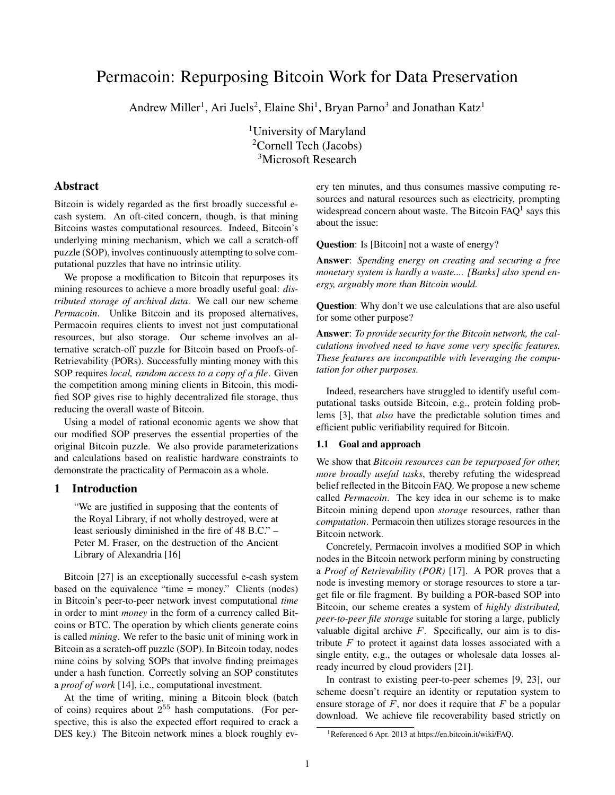# Permacoin: Repurposing Bitcoin Work for Data Preservation

Andrew Miller<sup>1</sup>, Ari Juels<sup>2</sup>, Elaine Shi<sup>1</sup>, Bryan Parno<sup>3</sup> and Jonathan Katz<sup>1</sup>

<sup>1</sup>University of Maryland <sup>2</sup>Cornell Tech (Jacobs) <sup>3</sup>Microsoft Research

# Abstract

Bitcoin is widely regarded as the first broadly successful ecash system. An oft-cited concern, though, is that mining Bitcoins wastes computational resources. Indeed, Bitcoin's underlying mining mechanism, which we call a scratch-off puzzle (SOP), involves continuously attempting to solve computational puzzles that have no intrinsic utility.

We propose a modification to Bitcoin that repurposes its mining resources to achieve a more broadly useful goal: *distributed storage of archival data*. We call our new scheme *Permacoin*. Unlike Bitcoin and its proposed alternatives, Permacoin requires clients to invest not just computational resources, but also storage. Our scheme involves an alternative scratch-off puzzle for Bitcoin based on Proofs-of-Retrievability (PORs). Successfully minting money with this SOP requires *local, random access to a copy of a file*. Given the competition among mining clients in Bitcoin, this modified SOP gives rise to highly decentralized file storage, thus reducing the overall waste of Bitcoin.

Using a model of rational economic agents we show that our modified SOP preserves the essential properties of the original Bitcoin puzzle. We also provide parameterizations and calculations based on realistic hardware constraints to demonstrate the practicality of Permacoin as a whole.

#### 1 Introduction

"We are justified in supposing that the contents of the Royal Library, if not wholly destroyed, were at least seriously diminished in the fire of 48 B.C." – Peter M. Fraser, on the destruction of the Ancient Library of Alexandria [16]

Bitcoin [27] is an exceptionally successful e-cash system based on the equivalence "time = money." Clients (nodes) in Bitcoin's peer-to-peer network invest computational *time* in order to mint *money* in the form of a currency called Bitcoins or BTC. The operation by which clients generate coins is called *mining*. We refer to the basic unit of mining work in Bitcoin as a scratch-off puzzle (SOP). In Bitcoin today, nodes mine coins by solving SOPs that involve finding preimages under a hash function. Correctly solving an SOP constitutes a *proof of work* [14], i.e., computational investment.

At the time of writing, mining a Bitcoin block (batch of coins) requires about  $2^{55}$  hash computations. (For perspective, this is also the expected effort required to crack a DES key.) The Bitcoin network mines a block roughly every ten minutes, and thus consumes massive computing resources and natural resources such as electricity, prompting widespread concern about waste. The Bitcoin  $\text{FAQ}^1$  says this about the issue:

Question: Is [Bitcoin] not a waste of energy?

Answer: *Spending energy on creating and securing a free monetary system is hardly a waste.... [Banks] also spend energy, arguably more than Bitcoin would.*

Question: Why don't we use calculations that are also useful for some other purpose?

Answer: *To provide security for the Bitcoin network, the calculations involved need to have some very specific features. These features are incompatible with leveraging the computation for other purposes.*

Indeed, researchers have struggled to identify useful computational tasks outside Bitcoin, e.g., protein folding problems [3], that *also* have the predictable solution times and efficient public verifiability required for Bitcoin.

#### 1.1 Goal and approach

We show that *Bitcoin resources can be repurposed for other, more broadly useful tasks*, thereby refuting the widespread belief reflected in the Bitcoin FAQ. We propose a new scheme called *Permacoin*. The key idea in our scheme is to make Bitcoin mining depend upon *storage* resources, rather than *computation*. Permacoin then utilizes storage resources in the Bitcoin network.

Concretely, Permacoin involves a modified SOP in which nodes in the Bitcoin network perform mining by constructing a *Proof of Retrievability (POR)* [17]. A POR proves that a node is investing memory or storage resources to store a target file or file fragment. By building a POR-based SOP into Bitcoin, our scheme creates a system of *highly distributed, peer-to-peer file storage* suitable for storing a large, publicly valuable digital archive  $F$ . Specifically, our aim is to distribute  $F$  to protect it against data losses associated with a single entity, e.g., the outages or wholesale data losses already incurred by cloud providers [21].

In contrast to existing peer-to-peer schemes [9, 23], our scheme doesn't require an identity or reputation system to ensure storage of  $F$ , nor does it require that  $F$  be a popular download. We achieve file recoverability based strictly on

<sup>1</sup>Referenced 6 Apr. 2013 at https://en.bitcoin.it/wiki/FAQ.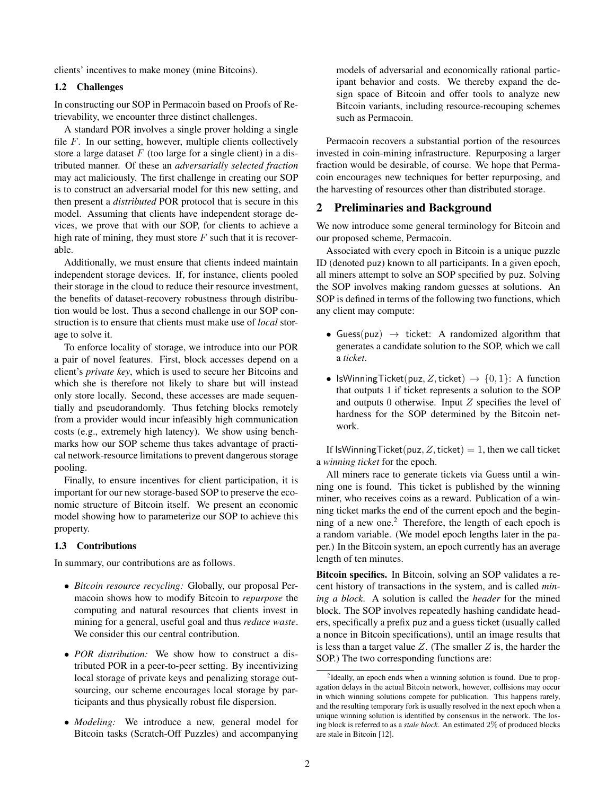clients' incentives to make money (mine Bitcoins).

#### 1.2 Challenges

In constructing our SOP in Permacoin based on Proofs of Retrievability, we encounter three distinct challenges.

A standard POR involves a single prover holding a single file  $F$ . In our setting, however, multiple clients collectively store a large dataset  $F$  (too large for a single client) in a distributed manner. Of these an *adversarially selected fraction* may act maliciously. The first challenge in creating our SOP is to construct an adversarial model for this new setting, and then present a *distributed* POR protocol that is secure in this model. Assuming that clients have independent storage devices, we prove that with our SOP, for clients to achieve a high rate of mining, they must store  $F$  such that it is recoverable.

Additionally, we must ensure that clients indeed maintain independent storage devices. If, for instance, clients pooled their storage in the cloud to reduce their resource investment, the benefits of dataset-recovery robustness through distribution would be lost. Thus a second challenge in our SOP construction is to ensure that clients must make use of *local* storage to solve it.

To enforce locality of storage, we introduce into our POR a pair of novel features. First, block accesses depend on a client's *private key*, which is used to secure her Bitcoins and which she is therefore not likely to share but will instead only store locally. Second, these accesses are made sequentially and pseudorandomly. Thus fetching blocks remotely from a provider would incur infeasibly high communication costs (e.g., extremely high latency). We show using benchmarks how our SOP scheme thus takes advantage of practical network-resource limitations to prevent dangerous storage pooling.

Finally, to ensure incentives for client participation, it is important for our new storage-based SOP to preserve the economic structure of Bitcoin itself. We present an economic model showing how to parameterize our SOP to achieve this property.

#### 1.3 Contributions

In summary, our contributions are as follows.

- *Bitcoin resource recycling:* Globally, our proposal Permacoin shows how to modify Bitcoin to *repurpose* the computing and natural resources that clients invest in mining for a general, useful goal and thus *reduce waste*. We consider this our central contribution.
- *POR distribution:* We show how to construct a distributed POR in a peer-to-peer setting. By incentivizing local storage of private keys and penalizing storage outsourcing, our scheme encourages local storage by participants and thus physically robust file dispersion.
- *Modeling:* We introduce a new, general model for Bitcoin tasks (Scratch-Off Puzzles) and accompanying

models of adversarial and economically rational participant behavior and costs. We thereby expand the design space of Bitcoin and offer tools to analyze new Bitcoin variants, including resource-recouping schemes such as Permacoin.

Permacoin recovers a substantial portion of the resources invested in coin-mining infrastructure. Repurposing a larger fraction would be desirable, of course. We hope that Permacoin encourages new techniques for better repurposing, and the harvesting of resources other than distributed storage.

## 2 Preliminaries and Background

We now introduce some general terminology for Bitcoin and our proposed scheme, Permacoin.

Associated with every epoch in Bitcoin is a unique puzzle ID (denoted puz) known to all participants. In a given epoch, all miners attempt to solve an SOP specified by puz. Solving the SOP involves making random guesses at solutions. An SOP is defined in terms of the following two functions, which any client may compute:

- Guess(puz)  $\rightarrow$  ticket: A randomized algorithm that generates a candidate solution to the SOP, which we call a *ticket*.
- IsWinningTicket(puz, Z, ticket)  $\rightarrow$   $\{0,1\}$ : A function that outputs 1 if ticket represents a solution to the SOP and outputs  $0$  otherwise. Input  $Z$  specifies the level of hardness for the SOP determined by the Bitcoin network.

If  $\textsf{IsWinningTicket}(\texttt{puz}, Z, \text{ticket}) = 1$ , then we call ticket a *winning ticket* for the epoch.

All miners race to generate tickets via Guess until a winning one is found. This ticket is published by the winning miner, who receives coins as a reward. Publication of a winning ticket marks the end of the current epoch and the beginning of a new one.<sup>2</sup> Therefore, the length of each epoch is a random variable. (We model epoch lengths later in the paper.) In the Bitcoin system, an epoch currently has an average length of ten minutes.

Bitcoin specifics. In Bitcoin, solving an SOP validates a recent history of transactions in the system, and is called *mining a block*. A solution is called the *header* for the mined block. The SOP involves repeatedly hashing candidate headers, specifically a prefix puz and a guess ticket (usually called a nonce in Bitcoin specifications), until an image results that is less than a target value  $Z$ . (The smaller  $Z$  is, the harder the SOP.) The two corresponding functions are:

<sup>&</sup>lt;sup>2</sup>Ideally, an epoch ends when a winning solution is found. Due to propagation delays in the actual Bitcoin network, however, collisions may occur in which winning solutions compete for publication. This happens rarely, and the resulting temporary fork is usually resolved in the next epoch when a unique winning solution is identified by consensus in the network. The losing block is referred to as a *stale block*. An estimated 2% of produced blocks are stale in Bitcoin [12].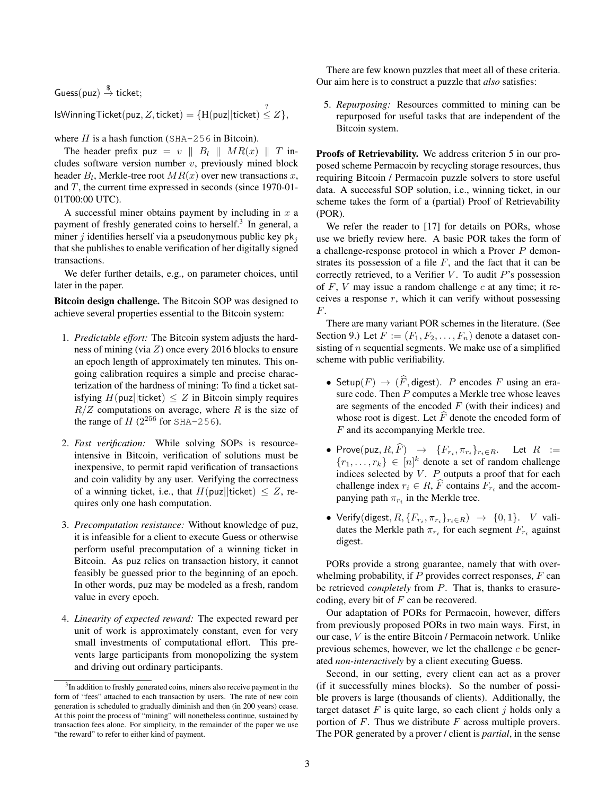$\mathsf{G} \mathsf{uess}(\mathsf{p}\mathsf{u}\mathsf{z}) \stackrel{\$}{\to} \mathsf{t} \mathsf{i} \mathsf{c} \mathsf{k} \mathsf{e} \mathsf{t};$ 

 ${\sf IsWinningTicket}({\sf puz},Z,{\sf ticket})=\{{\sf H}({\sf puz}||{\sf ticket})\stackrel{?}{\leq} Z\},$ 

where  $H$  is a hash function (SHA-256 in Bitcoin).

The header prefix puz = v  $\parallel$  B<sub>l</sub>  $\parallel$  MR(x)  $\parallel$  T includes software version number  $v$ , previously mined block header  $B_l$ , Merkle-tree root  $MR(x)$  over new transactions x, and T, the current time expressed in seconds (since 1970-01- 01T00:00 UTC).

A successful miner obtains payment by including in  $x$  a payment of freshly generated coins to herself.<sup>3</sup> In general, a miner j identifies herself via a pseudonymous public key  $pk_i$ that she publishes to enable verification of her digitally signed transactions.

We defer further details, e.g., on parameter choices, until later in the paper.

Bitcoin design challenge. The Bitcoin SOP was designed to achieve several properties essential to the Bitcoin system:

- 1. *Predictable effort:* The Bitcoin system adjusts the hardness of mining (via Z) once every 2016 blocks to ensure an epoch length of approximately ten minutes. This ongoing calibration requires a simple and precise characterization of the hardness of mining: To find a ticket satisfying  $H(puz||$ ticket)  $\leq Z$  in Bitcoin simply requires  $R/Z$  computations on average, where R is the size of the range of  $H$  ( $2^{256}$  for SHA-256).
- 2. *Fast verification:* While solving SOPs is resourceintensive in Bitcoin, verification of solutions must be inexpensive, to permit rapid verification of transactions and coin validity by any user. Verifying the correctness of a winning ticket, i.e., that  $H(puz||$ ticket)  $\leq Z$ , requires only one hash computation.
- 3. *Precomputation resistance:* Without knowledge of puz, it is infeasible for a client to execute Guess or otherwise perform useful precomputation of a winning ticket in Bitcoin. As puz relies on transaction history, it cannot feasibly be guessed prior to the beginning of an epoch. In other words, puz may be modeled as a fresh, random value in every epoch.
- 4. *Linearity of expected reward:* The expected reward per unit of work is approximately constant, even for very small investments of computational effort. This prevents large participants from monopolizing the system and driving out ordinary participants.

There are few known puzzles that meet all of these criteria. Our aim here is to construct a puzzle that *also* satisfies:

5. *Repurposing:* Resources committed to mining can be repurposed for useful tasks that are independent of the Bitcoin system.

Proofs of Retrievability. We address criterion 5 in our proposed scheme Permacoin by recycling storage resources, thus requiring Bitcoin / Permacoin puzzle solvers to store useful data. A successful SOP solution, i.e., winning ticket, in our scheme takes the form of a (partial) Proof of Retrievability (POR).

We refer the reader to [17] for details on PORs, whose use we briefly review here. A basic POR takes the form of a challenge-response protocol in which a Prover P demonstrates its possession of a file  $F$ , and the fact that it can be correctly retrieved, to a Verifier  $V$ . To audit  $P$ 's possession of  $F$ ,  $V$  may issue a random challenge  $c$  at any time; it receives a response  $r$ , which it can verify without possessing F.

There are many variant POR schemes in the literature. (See Section 9.) Let  $F := (F_1, F_2, \ldots, F_n)$  denote a dataset consisting of  $n$  sequential segments. We make use of a simplified scheme with public verifiability.

- Setup(F)  $\rightarrow$  ( $\widehat{F}$ , digest). P encodes F using an erasure code. Then P computes a Merkle tree whose leaves are segments of the encoded  $F$  (with their indices) and whose root is digest. Let  $F$  denote the encoded form of F and its accompanying Merkle tree.
- Prove(puz,  $R, F$ )  $\rightarrow$   $\{F_{r_i}, \pi_{r_i}\}_{r_i \in R}$ . Let  $R$  :=  $\{r_1, \ldots, r_k\} \in [n]^k$  denote a set of random challenge indices selected by  $V$ .  $P$  outputs a proof that for each challenge index  $r_i \in R$ , F contains  $F_{r_i}$  and the accompanying path  $\pi_{r_i}$  in the Merkle tree.
- Verify(digest,  $R, \{F_{r_i}, \pi_{r_i}\}_{r_i \in R}) \rightarrow \{0, 1\}$ . V validates the Merkle path  $\pi_{r_i}$  for each segment  $F_{r_i}$  against digest.

PORs provide a strong guarantee, namely that with overwhelming probability, if  $P$  provides correct responses,  $F$  can be retrieved *completely* from P. That is, thanks to erasurecoding, every bit of  $F$  can be recovered.

Our adaptation of PORs for Permacoin, however, differs from previously proposed PORs in two main ways. First, in our case, V is the entire Bitcoin / Permacoin network. Unlike previous schemes, however, we let the challenge  $c$  be generated *non-interactively* by a client executing Guess.

Second, in our setting, every client can act as a prover (if it successfully mines blocks). So the number of possible provers is large (thousands of clients). Additionally, the target dataset  $F$  is quite large, so each client  $j$  holds only a portion of  $F$ . Thus we distribute  $F$  across multiple provers. The POR generated by a prover / client is *partial*, in the sense

<sup>&</sup>lt;sup>3</sup>In addition to freshly generated coins, miners also receive payment in the form of "fees" attached to each transaction by users. The rate of new coin generation is scheduled to gradually diminish and then (in 200 years) cease. At this point the process of "mining" will nonetheless continue, sustained by transaction fees alone. For simplicity, in the remainder of the paper we use "the reward" to refer to either kind of payment.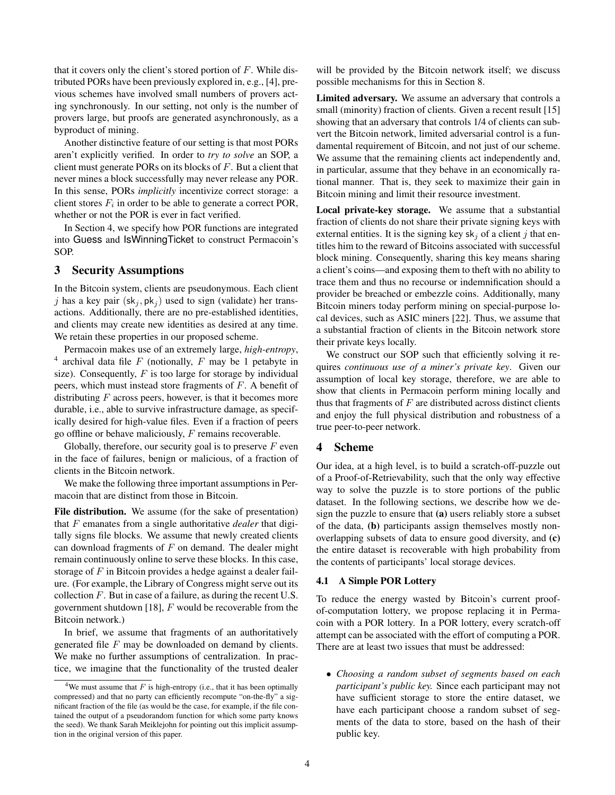that it covers only the client's stored portion of  $F$ . While distributed PORs have been previously explored in, e.g., [4], previous schemes have involved small numbers of provers acting synchronously. In our setting, not only is the number of provers large, but proofs are generated asynchronously, as a byproduct of mining.

Another distinctive feature of our setting is that most PORs aren't explicitly verified. In order to *try to solve* an SOP, a client must generate PORs on its blocks of  $F$ . But a client that never mines a block successfully may never release any POR. In this sense, PORs *implicitly* incentivize correct storage: a client stores  $F_i$  in order to be able to generate a correct POR, whether or not the POR is ever in fact verified.

In Section 4, we specify how POR functions are integrated into Guess and IsWinningTicket to construct Permacoin's SOP.

# 3 Security Assumptions

In the Bitcoin system, clients are pseudonymous. Each client j has a key pair  $(\mathsf{sk}_j, \mathsf{pk}_j)$  used to sign (validate) her transactions. Additionally, there are no pre-established identities, and clients may create new identities as desired at any time. We retain these properties in our proposed scheme.

Permacoin makes use of an extremely large, *high-entropy*,  $4$  archival data file F (notionally, F may be 1 petabyte in size). Consequently,  $F$  is too large for storage by individual peers, which must instead store fragments of F. A benefit of distributing  $F$  across peers, however, is that it becomes more durable, i.e., able to survive infrastructure damage, as specifically desired for high-value files. Even if a fraction of peers go offline or behave maliciously,  $F$  remains recoverable.

Globally, therefore, our security goal is to preserve  $F$  even in the face of failures, benign or malicious, of a fraction of clients in the Bitcoin network.

We make the following three important assumptions in Permacoin that are distinct from those in Bitcoin.

File distribution. We assume (for the sake of presentation) that F emanates from a single authoritative *dealer* that digitally signs file blocks. We assume that newly created clients can download fragments of  $F$  on demand. The dealer might remain continuously online to serve these blocks. In this case, storage of  $F$  in Bitcoin provides a hedge against a dealer failure. (For example, the Library of Congress might serve out its collection F. But in case of a failure, as during the recent U.S. government shutdown [18],  $F$  would be recoverable from the Bitcoin network.)

In brief, we assume that fragments of an authoritatively generated file F may be downloaded on demand by clients. We make no further assumptions of centralization. In practice, we imagine that the functionality of the trusted dealer will be provided by the Bitcoin network itself; we discuss possible mechanisms for this in Section 8.

Limited adversary. We assume an adversary that controls a small (minority) fraction of clients. Given a recent result [15] showing that an adversary that controls 1/4 of clients can subvert the Bitcoin network, limited adversarial control is a fundamental requirement of Bitcoin, and not just of our scheme. We assume that the remaining clients act independently and, in particular, assume that they behave in an economically rational manner. That is, they seek to maximize their gain in Bitcoin mining and limit their resource investment.

Local private-key storage. We assume that a substantial fraction of clients do not share their private signing keys with external entities. It is the signing key  $sk_j$  of a client j that entitles him to the reward of Bitcoins associated with successful block mining. Consequently, sharing this key means sharing a client's coins—and exposing them to theft with no ability to trace them and thus no recourse or indemnification should a provider be breached or embezzle coins. Additionally, many Bitcoin miners today perform mining on special-purpose local devices, such as ASIC miners [22]. Thus, we assume that a substantial fraction of clients in the Bitcoin network store their private keys locally.

We construct our SOP such that efficiently solving it requires *continuous use of a miner's private key*. Given our assumption of local key storage, therefore, we are able to show that clients in Permacoin perform mining locally and thus that fragments of  $F$  are distributed across distinct clients and enjoy the full physical distribution and robustness of a true peer-to-peer network.

# 4 Scheme

Our idea, at a high level, is to build a scratch-off-puzzle out of a Proof-of-Retrievability, such that the only way effective way to solve the puzzle is to store portions of the public dataset. In the following sections, we describe how we design the puzzle to ensure that (a) users reliably store a subset of the data, (b) participants assign themselves mostly nonoverlapping subsets of data to ensure good diversity, and (c) the entire dataset is recoverable with high probability from the contents of participants' local storage devices.

## 4.1 A Simple POR Lottery

To reduce the energy wasted by Bitcoin's current proofof-computation lottery, we propose replacing it in Permacoin with a POR lottery. In a POR lottery, every scratch-off attempt can be associated with the effort of computing a POR. There are at least two issues that must be addressed:

• *Choosing a random subset of segments based on each participant's public key.* Since each participant may not have sufficient storage to store the entire dataset, we have each participant choose a random subset of segments of the data to store, based on the hash of their public key.

<sup>&</sup>lt;sup>4</sup>We must assume that  $F$  is high-entropy (i.e., that it has been optimally compressed) and that no party can efficiently recompute "on-the-fly" a significant fraction of the file (as would be the case, for example, if the file contained the output of a pseudorandom function for which some party knows the seed). We thank Sarah Meiklejohn for pointing out this implicit assumption in the original version of this paper.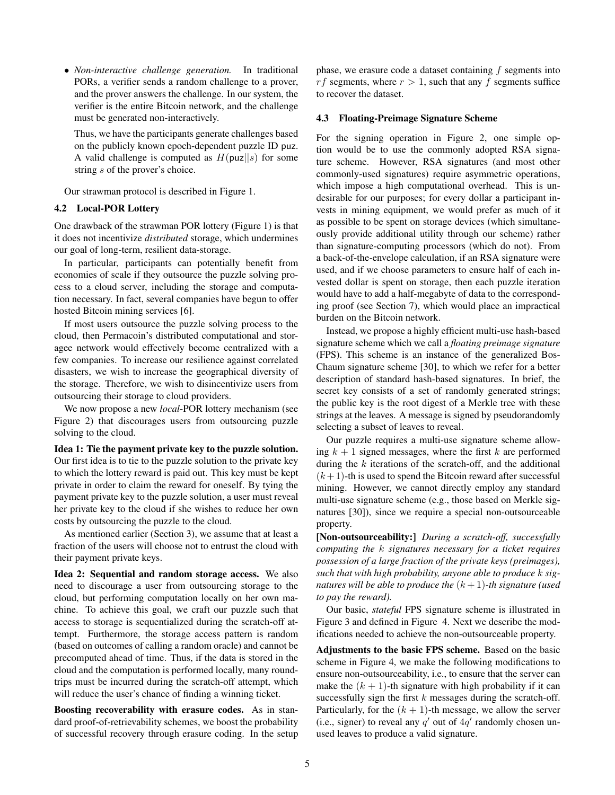• *Non-interactive challenge generation.* In traditional PORs, a verifier sends a random challenge to a prover, and the prover answers the challenge. In our system, the verifier is the entire Bitcoin network, and the challenge must be generated non-interactively.

Thus, we have the participants generate challenges based on the publicly known epoch-dependent puzzle ID puz. A valid challenge is computed as  $H(puz||s)$  for some string s of the prover's choice.

Our strawman protocol is described in Figure 1.

#### 4.2 Local-POR Lottery

One drawback of the strawman POR lottery (Figure 1) is that it does not incentivize *distributed* storage, which undermines our goal of long-term, resilient data-storage.

In particular, participants can potentially benefit from economies of scale if they outsource the puzzle solving process to a cloud server, including the storage and computation necessary. In fact, several companies have begun to offer hosted Bitcoin mining services [6].

If most users outsource the puzzle solving process to the cloud, then Permacoin's distributed computational and storagee network would effectively become centralized with a few companies. To increase our resilience against correlated disasters, we wish to increase the geographical diversity of the storage. Therefore, we wish to disincentivize users from outsourcing their storage to cloud providers.

We now propose a new *local*-POR lottery mechanism (see Figure 2) that discourages users from outsourcing puzzle solving to the cloud.

Idea 1: Tie the payment private key to the puzzle solution. Our first idea is to tie to the puzzle solution to the private key to which the lottery reward is paid out. This key must be kept private in order to claim the reward for oneself. By tying the payment private key to the puzzle solution, a user must reveal her private key to the cloud if she wishes to reduce her own costs by outsourcing the puzzle to the cloud.

As mentioned earlier (Section 3), we assume that at least a fraction of the users will choose not to entrust the cloud with their payment private keys.

Idea 2: Sequential and random storage access. We also need to discourage a user from outsourcing storage to the cloud, but performing computation locally on her own machine. To achieve this goal, we craft our puzzle such that access to storage is sequentialized during the scratch-off attempt. Furthermore, the storage access pattern is random (based on outcomes of calling a random oracle) and cannot be precomputed ahead of time. Thus, if the data is stored in the cloud and the computation is performed locally, many roundtrips must be incurred during the scratch-off attempt, which will reduce the user's chance of finding a winning ticket.

Boosting recoverability with erasure codes. As in standard proof-of-retrievability schemes, we boost the probability of successful recovery through erasure coding. In the setup phase, we erasure code a dataset containing  $f$  segments into  $rf$  segments, where  $r > 1$ , such that any f segments suffice to recover the dataset.

#### 4.3 Floating-Preimage Signature Scheme

For the signing operation in Figure 2, one simple option would be to use the commonly adopted RSA signature scheme. However, RSA signatures (and most other commonly-used signatures) require asymmetric operations, which impose a high computational overhead. This is undesirable for our purposes; for every dollar a participant invests in mining equipment, we would prefer as much of it as possible to be spent on storage devices (which simultaneously provide additional utility through our scheme) rather than signature-computing processors (which do not). From a back-of-the-envelope calculation, if an RSA signature were used, and if we choose parameters to ensure half of each invested dollar is spent on storage, then each puzzle iteration would have to add a half-megabyte of data to the corresponding proof (see Section 7), which would place an impractical burden on the Bitcoin network.

Instead, we propose a highly efficient multi-use hash-based signature scheme which we call a *floating preimage signature* (FPS). This scheme is an instance of the generalized Bos-Chaum signature scheme [30], to which we refer for a better description of standard hash-based signatures. In brief, the secret key consists of a set of randomly generated strings; the public key is the root digest of a Merkle tree with these strings at the leaves. A message is signed by pseudorandomly selecting a subset of leaves to reveal.

Our puzzle requires a multi-use signature scheme allowing  $k + 1$  signed messages, where the first k are performed during the  $k$  iterations of the scratch-off, and the additional  $(k+1)$ -th is used to spend the Bitcoin reward after successful mining. However, we cannot directly employ any standard multi-use signature scheme (e.g., those based on Merkle signatures [30]), since we require a special non-outsourceable property.

[Non-outsourceability:] *During a scratch-off, successfully computing the* k *signatures necessary for a ticket requires possession of a large fraction of the private keys (preimages), such that with high probability, anyone able to produce* k *signatures will be able to produce the*  $(k + 1)$ -th signature (used *to pay the reward).*

Our basic, *stateful* FPS signature scheme is illustrated in Figure 3 and defined in Figure 4. Next we describe the modifications needed to achieve the non-outsourceable property.

Adjustments to the basic FPS scheme. Based on the basic scheme in Figure 4, we make the following modifications to ensure non-outsourceability, i.e., to ensure that the server can make the  $(k + 1)$ -th signature with high probability if it can successfully sign the first  $k$  messages during the scratch-off. Particularly, for the  $(k + 1)$ -th message, we allow the server (i.e., signer) to reveal any  $q'$  out of  $4q'$  randomly chosen unused leaves to produce a valid signature.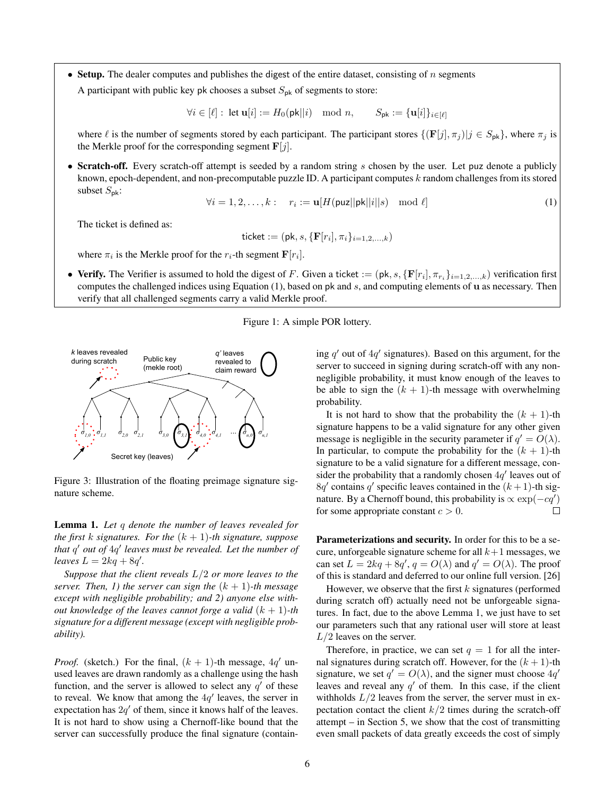- Setup. The dealer computes and publishes the digest of the entire dataset, consisting of  $n$  segments
	- A participant with public key pk chooses a subset  $S_{\text{pk}}$  of segments to store:

 $\forall i \in [\ell] : \text{let } \mathbf{u}[i] := H_0(\mathsf{pk}||i) \mod n, \qquad S_{\mathsf{pk}} := {\mathbf{u}[i]_{i \in [\ell]}}$ 

where  $\ell$  is the number of segments stored by each participant. The participant stores  $\{(\mathbf{F}[j], \pi_j) | j \in S_{\text{pk}}\}$ , where  $\pi_j$  is the Merkle proof for the corresponding segment  $F[j]$ .

• Scratch-off. Every scratch-off attempt is seeded by a random string s chosen by the user. Let puz denote a publicly known, epoch-dependent, and non-precomputable puzzle ID. A participant computes  $k$  random challenges from its stored subset  $S_{nk}$ :

$$
\forall i = 1, 2, \dots, k: \quad r_i := \mathbf{u}[H(\mathsf{puz}||\mathsf{pk}||i||s) \mod \ell] \tag{1}
$$

The ticket is defined as:

$$
ticket := (\mathsf{pk}, s, \{ \mathbf{F}[r_i], \pi_i \}_{i=1,2,...,k})
$$

where  $\pi_i$  is the Merkle proof for the  $r_i$ -th segment  $\mathbf{F}[r_i]$ .

• Verify. The Verifier is assumed to hold the digest of F. Given a ticket  $:=(\mathsf{pk}, s, \{\mathbf{F}[r_i], \pi_{r_i}\}_{i=1,2,\ldots,k})$  verification first computes the challenged indices using Equation  $(1)$ , based on pk and s, and computing elements of  $u$  as necessary. Then verify that all challenged segments carry a valid Merkle proof.





Figure 3: Illustration of the floating preimage signature signature scheme.

Lemma 1. *Let* q *denote the number of leaves revealed for the first* k *signatures. For the*  $(k + 1)$ -th *signature, suppose that* q <sup>0</sup> *out of* 4q 0 *leaves must be revealed. Let the number of leaves*  $L = 2kq + 8q'$ .

*Suppose that the client reveals* L/2 *or more leaves to the server.* Then, 1) the server can sign the  $(k + 1)$ -th message *except with negligible probability; and 2) anyone else without knowledge of the leaves cannot forge a valid*  $(k + 1)$ -th *signature for a different message (except with negligible probability).*

*Proof.* (sketch.) For the final,  $(k + 1)$ -th message,  $4q'$  unused leaves are drawn randomly as a challenge using the hash function, and the server is allowed to select any  $q'$  of these to reveal. We know that among the  $4q'$  leaves, the server in expectation has  $2q'$  of them, since it knows half of the leaves. It is not hard to show using a Chernoff-like bound that the server can successfully produce the final signature (contain-

ing  $q'$  out of  $4q'$  signatures). Based on this argument, for the server to succeed in signing during scratch-off with any nonnegligible probability, it must know enough of the leaves to be able to sign the  $(k + 1)$ -th message with overwhelming probability.

It is not hard to show that the probability the  $(k + 1)$ -th signature happens to be a valid signature for any other given message is negligible in the security parameter if  $q' = O(\lambda)$ . In particular, to compute the probability for the  $(k + 1)$ -th signature to be a valid signature for a different message, consider the probability that a randomly chosen  $4q'$  leaves out of  $8q'$  contains q' specific leaves contained in the  $(k + 1)$ -th signature. By a Chernoff bound, this probability is  $\propto \exp(-cq')$ for some appropriate constant  $c > 0$ .  $\Box$ 

Parameterizations and security. In order for this to be a secure, unforgeable signature scheme for all  $k+1$  messages, we can set  $L = 2kq + 8q'$ ,  $q = O(\lambda)$  and  $q' = O(\lambda)$ . The proof of this is standard and deferred to our online full version. [26]

However, we observe that the first  $k$  signatures (performed during scratch off) actually need not be unforgeable signatures. In fact, due to the above Lemma 1, we just have to set our parameters such that any rational user will store at least  $L/2$  leaves on the server.

Therefore, in practice, we can set  $q = 1$  for all the internal signatures during scratch off. However, for the  $(k + 1)$ -th signature, we set  $q' = O(\lambda)$ , and the signer must choose  $4q'$ leaves and reveal any  $q'$  of them. In this case, if the client withholds  $L/2$  leaves from the server, the server must in expectation contact the client  $k/2$  times during the scratch-off attempt – in Section 5, we show that the cost of transmitting even small packets of data greatly exceeds the cost of simply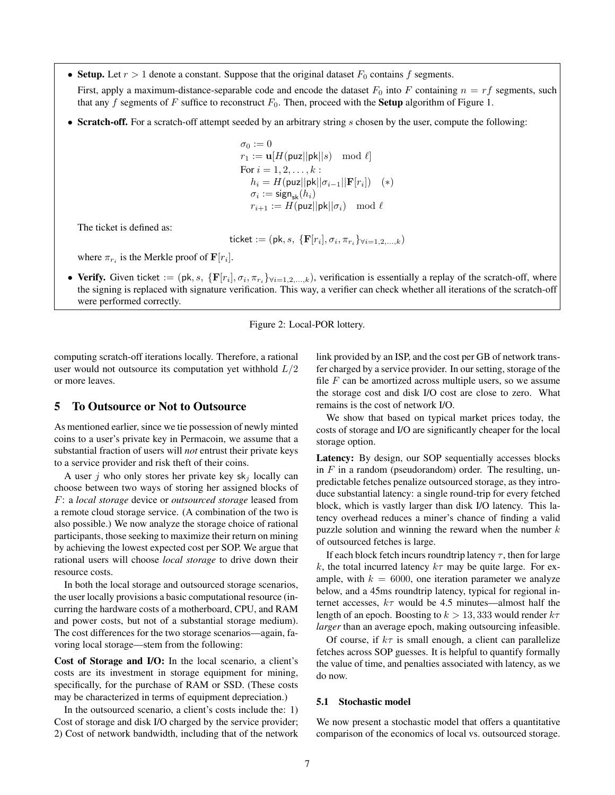• Setup. Let  $r > 1$  denote a constant. Suppose that the original dataset  $F_0$  contains f segments.

First, apply a maximum-distance-separable code and encode the dataset  $F_0$  into F containing  $n = rf$  segments, such that any f segments of F suffice to reconstruct  $F_0$ . Then, proceed with the **Setup** algorithm of Figure 1.

• Scratch-off. For a scratch-off attempt seeded by an arbitrary string s chosen by the user, compute the following:

$$
\sigma_0 := 0
$$
  
\n
$$
r_1 := \mathbf{u}[H(\mathsf{puz}||\mathsf{pk}||s) \mod l]
$$
  
\nFor  $i = 1, 2, ..., k$ :  
\n
$$
h_i = H(\mathsf{puz}||\mathsf{pk}||\sigma_{i-1}||\mathbf{F}[r_i]) \quad (*)
$$
  
\n
$$
\sigma_i := \mathsf{sign}_{\mathsf{sk}}(h_i)
$$
  
\n
$$
r_{i+1} := H(\mathsf{puz}||\mathsf{pk}||\sigma_i) \mod l
$$

The ticket is defined as:

$$
\mathsf{ticket} := (\mathsf{pk}, s, \, \{\mathbf{F}[r_i], \sigma_i, \pi_{r_i}\}_{\forall i=1,2,\ldots,k})
$$

where  $\pi_{r_i}$  is the Merkle proof of  $\mathbf{F}[r_i]$ .

• Verify. Given ticket := (pk, s,  $\{F[r_i], \sigma_i, \pi_{r_i}\}_{\forall i=1,2,\dots,k}$ ), verification is essentially a replay of the scratch-off, where the signing is replaced with signature verification. This way, a verifier can check whether all iterations of the scratch-off were performed correctly.



computing scratch-off iterations locally. Therefore, a rational user would not outsource its computation yet withhold  $L/2$ or more leaves.

#### 5 To Outsource or Not to Outsource

As mentioned earlier, since we tie possession of newly minted coins to a user's private key in Permacoin, we assume that a substantial fraction of users will *not* entrust their private keys to a service provider and risk theft of their coins.

A user j who only stores her private key sk<sub>j</sub> locally can choose between two ways of storing her assigned blocks of F: a *local storage* device or *outsourced storage* leased from a remote cloud storage service. (A combination of the two is also possible.) We now analyze the storage choice of rational participants, those seeking to maximize their return on mining by achieving the lowest expected cost per SOP. We argue that rational users will choose *local storage* to drive down their resource costs.

In both the local storage and outsourced storage scenarios, the user locally provisions a basic computational resource (incurring the hardware costs of a motherboard, CPU, and RAM and power costs, but not of a substantial storage medium). The cost differences for the two storage scenarios—again, favoring local storage—stem from the following:

Cost of Storage and I/O: In the local scenario, a client's costs are its investment in storage equipment for mining, specifically, for the purchase of RAM or SSD. (These costs may be characterized in terms of equipment depreciation.)

In the outsourced scenario, a client's costs include the: 1) Cost of storage and disk I/O charged by the service provider; 2) Cost of network bandwidth, including that of the network link provided by an ISP, and the cost per GB of network transfer charged by a service provider. In our setting, storage of the file  $F$  can be amortized across multiple users, so we assume the storage cost and disk I/O cost are close to zero. What remains is the cost of network I/O.

We show that based on typical market prices today, the costs of storage and I/O are significantly cheaper for the local storage option.

Latency: By design, our SOP sequentially accesses blocks in  $F$  in a random (pseudorandom) order. The resulting, unpredictable fetches penalize outsourced storage, as they introduce substantial latency: a single round-trip for every fetched block, which is vastly larger than disk I/O latency. This latency overhead reduces a miner's chance of finding a valid puzzle solution and winning the reward when the number  $k$ of outsourced fetches is large.

If each block fetch incurs roundtrip latency  $\tau$ , then for large k, the total incurred latency  $k\tau$  may be quite large. For example, with  $k = 6000$ , one iteration parameter we analyze below, and a 45ms roundtrip latency, typical for regional internet accesses,  $k\tau$  would be 4.5 minutes—almost half the length of an epoch. Boosting to  $k > 13,333$  would render  $k\tau$ *larger* than an average epoch, making outsourcing infeasible.

Of course, if  $k\tau$  is small enough, a client can parallelize fetches across SOP guesses. It is helpful to quantify formally the value of time, and penalties associated with latency, as we do now.

#### 5.1 Stochastic model

We now present a stochastic model that offers a quantitative comparison of the economics of local vs. outsourced storage.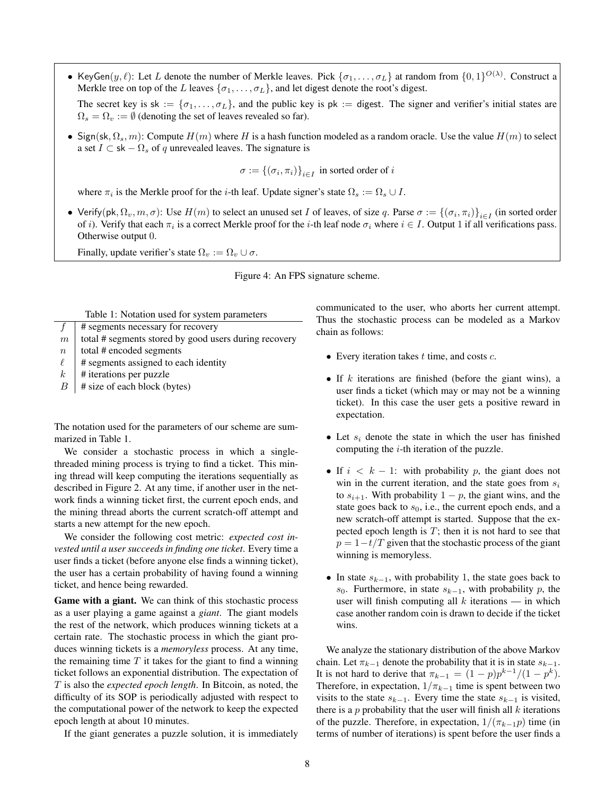• KeyGen $(y, \ell)$ : Let L denote the number of Merkle leaves. Pick  $\{\sigma_1, \ldots, \sigma_L\}$  at random from  $\{0, 1\}^{O(\lambda)}$ . Construct a Merkle tree on top of the L leaves  $\{\sigma_1, \ldots, \sigma_L\}$ , and let digest denote the root's digest.

The secret key is sk :=  $\{\sigma_1, \ldots, \sigma_L\}$ , and the public key is pk := digest. The signer and verifier's initial states are  $\Omega_s = \Omega_v := \emptyset$  (denoting the set of leaves revealed so far).

• Sign(sk,  $\Omega_s$ , m): Compute  $H(m)$  where H is a hash function modeled as a random oracle. Use the value  $H(m)$  to select a set  $I \subset$  sk –  $\Omega_s$  of q unrevealed leaves. The signature is

 $\sigma := \{(\sigma_i, \pi_i)\}_{i \in I}$  in sorted order of i

where  $\pi_i$  is the Merkle proof for the *i*-th leaf. Update signer's state  $\Omega_s := \Omega_s \cup I$ .

• Verify(pk,  $\Omega_v, m, \sigma$ ): Use  $H(m)$  to select an unused set I of leaves, of size q. Parse  $\sigma := \{(\sigma_i, \pi_i)\}_{i \in I}$  (in sorted order of *i*). Verify that each  $\pi_i$  is a correct Merkle proof for the *i*-th leaf node  $\sigma_i$  where  $i \in I$ . Output 1 if all verifications pass. Otherwise output 0.

Finally, update verifier's state  $\Omega_v := \Omega_v \cup \sigma$ .

Figure 4: An FPS signature scheme.

| Table 1: Notation used for system parameters |  |  |  |
|----------------------------------------------|--|--|--|
|----------------------------------------------|--|--|--|

- $f \mid #$  segments necessary for recovery  $m \mid$  total # segments stored by good users during recovery
- $n \mid$  total # encoded segments
- $\ell$  # segments assigned to each identity
- $k \mid #$  iterations per puzzle
- $B \mid #$  size of each block (bytes)

The notation used for the parameters of our scheme are summarized in Table 1.

We consider a stochastic process in which a singlethreaded mining process is trying to find a ticket. This mining thread will keep computing the iterations sequentially as described in Figure 2. At any time, if another user in the network finds a winning ticket first, the current epoch ends, and the mining thread aborts the current scratch-off attempt and starts a new attempt for the new epoch.

We consider the following cost metric: *expected cost invested until a user succeeds in finding one ticket*. Every time a user finds a ticket (before anyone else finds a winning ticket), the user has a certain probability of having found a winning ticket, and hence being rewarded.

Game with a giant. We can think of this stochastic process as a user playing a game against a *giant*. The giant models the rest of the network, which produces winning tickets at a certain rate. The stochastic process in which the giant produces winning tickets is a *memoryless* process. At any time, the remaining time  $T$  it takes for the giant to find a winning ticket follows an exponential distribution. The expectation of T is also the *expected epoch length*. In Bitcoin, as noted, the difficulty of its SOP is periodically adjusted with respect to the computational power of the network to keep the expected epoch length at about 10 minutes.

If the giant generates a puzzle solution, it is immediately

communicated to the user, who aborts her current attempt. Thus the stochastic process can be modeled as a Markov chain as follows:

- Every iteration takes  $t$  time, and costs  $c$ .
- If  $k$  iterations are finished (before the giant wins), a user finds a ticket (which may or may not be a winning ticket). In this case the user gets a positive reward in expectation.
- Let  $s_i$  denote the state in which the user has finished computing the  $i$ -th iteration of the puzzle.
- If  $i < k 1$ : with probability p, the giant does not win in the current iteration, and the state goes from  $s_i$ to  $s_{i+1}$ . With probability  $1 - p$ , the giant wins, and the state goes back to  $s_0$ , i.e., the current epoch ends, and a new scratch-off attempt is started. Suppose that the expected epoch length is  $T$ ; then it is not hard to see that  $p = 1-t/T$  given that the stochastic process of the giant winning is memoryless.
- In state  $s_{k-1}$ , with probability 1, the state goes back to s<sub>0</sub>. Furthermore, in state  $s_{k-1}$ , with probability p, the user will finish computing all  $k$  iterations — in which case another random coin is drawn to decide if the ticket wins.

We analyze the stationary distribution of the above Markov chain. Let  $\pi_{k-1}$  denote the probability that it is in state  $s_{k-1}$ . It is not hard to derive that  $\pi_{k-1} = (1-p)p^{k-1}/(1-p^k)$ . Therefore, in expectation,  $1/\pi_{k-1}$  time is spent between two visits to the state  $s_{k-1}$ . Every time the state  $s_{k-1}$  is visited, there is a  $p$  probability that the user will finish all  $k$  iterations of the puzzle. Therefore, in expectation,  $1/(\pi_{k-1}p)$  time (in terms of number of iterations) is spent before the user finds a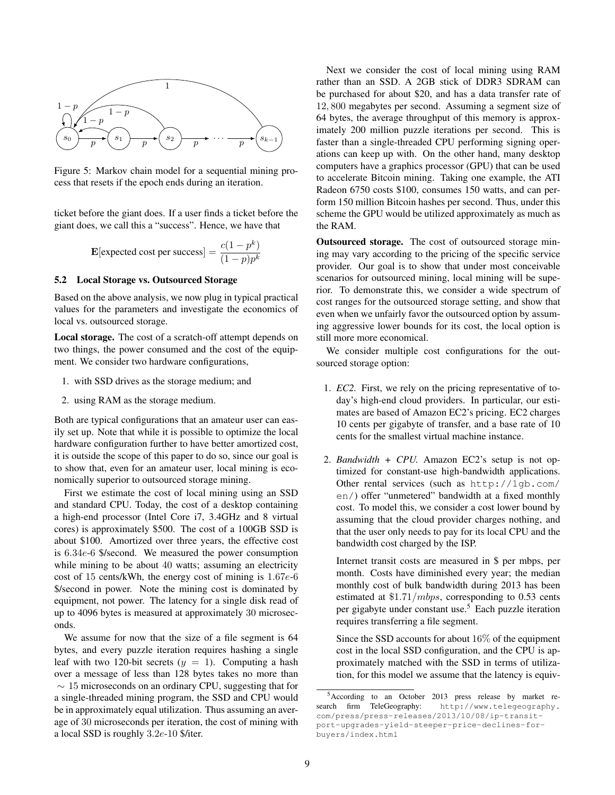

Figure 5: Markov chain model for a sequential mining process that resets if the epoch ends during an iteration.

ticket before the giant does. If a user finds a ticket before the giant does, we call this a "success". Hence, we have that

$$
\mathbf{E}[\text{expected cost per success}] = \frac{c(1 - p^k)}{(1 - p)p^k}
$$

#### 5.2 Local Storage vs. Outsourced Storage

Based on the above analysis, we now plug in typical practical values for the parameters and investigate the economics of local vs. outsourced storage.

Local storage. The cost of a scratch-off attempt depends on two things, the power consumed and the cost of the equipment. We consider two hardware configurations,

- 1. with SSD drives as the storage medium; and
- 2. using RAM as the storage medium.

Both are typical configurations that an amateur user can easily set up. Note that while it is possible to optimize the local hardware configuration further to have better amortized cost, it is outside the scope of this paper to do so, since our goal is to show that, even for an amateur user, local mining is economically superior to outsourced storage mining.

First we estimate the cost of local mining using an SSD and standard CPU. Today, the cost of a desktop containing a high-end processor (Intel Core i7, 3.4GHz and 8 virtual cores) is approximately \$500. The cost of a 100GB SSD is about \$100. Amortized over three years, the effective cost is 6.34e-6 \$/second. We measured the power consumption while mining to be about 40 watts; assuming an electricity cost of 15 cents/kWh, the energy cost of mining is 1.67e-6 \$/second in power. Note the mining cost is dominated by equipment, not power. The latency for a single disk read of up to 4096 bytes is measured at approximately 30 microseconds.

We assume for now that the size of a file segment is 64 bytes, and every puzzle iteration requires hashing a single leaf with two 120-bit secrets  $(y = 1)$ . Computing a hash over a message of less than 128 bytes takes no more than  $\sim$  15 microseconds on an ordinary CPU, suggesting that for a single-threaded mining program, the SSD and CPU would be in approximately equal utilization. Thus assuming an average of 30 microseconds per iteration, the cost of mining with a local SSD is roughly 3.2e-10 \$/iter.

Next we consider the cost of local mining using RAM rather than an SSD. A 2GB stick of DDR3 SDRAM can be purchased for about \$20, and has a data transfer rate of 12, 800 megabytes per second. Assuming a segment size of 64 bytes, the average throughput of this memory is approximately 200 million puzzle iterations per second. This is faster than a single-threaded CPU performing signing operations can keep up with. On the other hand, many desktop computers have a graphics processor (GPU) that can be used to accelerate Bitcoin mining. Taking one example, the ATI Radeon 6750 costs \$100, consumes 150 watts, and can perform 150 million Bitcoin hashes per second. Thus, under this scheme the GPU would be utilized approximately as much as the RAM.

Outsourced storage. The cost of outsourced storage mining may vary according to the pricing of the specific service provider. Our goal is to show that under most conceivable scenarios for outsourced mining, local mining will be superior. To demonstrate this, we consider a wide spectrum of cost ranges for the outsourced storage setting, and show that even when we unfairly favor the outsourced option by assuming aggressive lower bounds for its cost, the local option is still more more economical.

We consider multiple cost configurations for the outsourced storage option:

- 1. *EC2.* First, we rely on the pricing representative of today's high-end cloud providers. In particular, our estimates are based of Amazon EC2's pricing. EC2 charges 10 cents per gigabyte of transfer, and a base rate of 10 cents for the smallest virtual machine instance.
- 2. *Bandwidth + CPU.* Amazon EC2's setup is not optimized for constant-use high-bandwidth applications. Other rental services (such as http://1gb.com/ en/) offer "unmetered" bandwidth at a fixed monthly cost. To model this, we consider a cost lower bound by assuming that the cloud provider charges nothing, and that the user only needs to pay for its local CPU and the bandwidth cost charged by the ISP.

Internet transit costs are measured in \$ per mbps, per month. Costs have diminished every year; the median monthly cost of bulk bandwidth during 2013 has been estimated at \$1.71/mbps, corresponding to 0.53 cents per gigabyte under constant use.<sup>5</sup> Each puzzle iteration requires transferring a file segment.

Since the SSD accounts for about 16% of the equipment cost in the local SSD configuration, and the CPU is approximately matched with the SSD in terms of utilization, for this model we assume that the latency is equiv-

<sup>5</sup>According to an October 2013 press release by market research firm TeleGeography: http://www.telegeography. com/press/press-releases/2013/10/08/ip-transitport-upgrades-yield-steeper-price-declines-forbuyers/index.html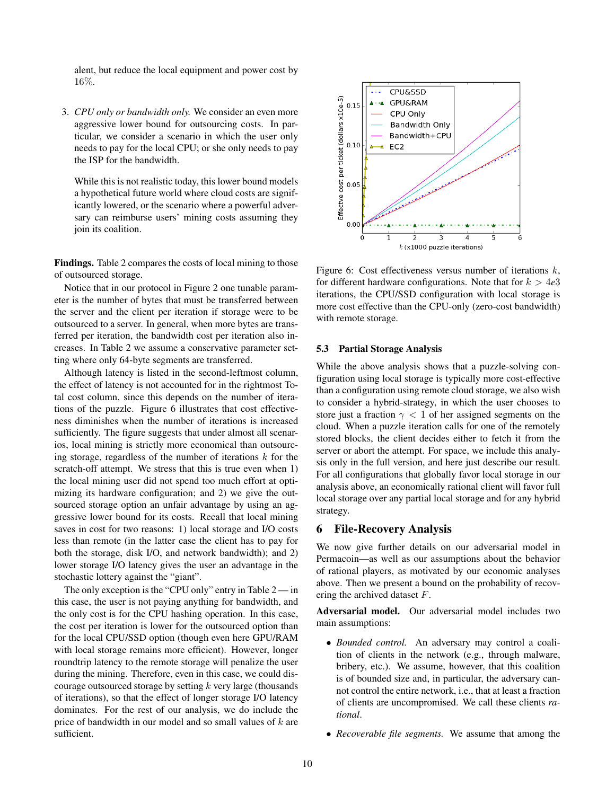alent, but reduce the local equipment and power cost by 16%.

3. *CPU only or bandwidth only.* We consider an even more aggressive lower bound for outsourcing costs. In particular, we consider a scenario in which the user only needs to pay for the local CPU; or she only needs to pay the ISP for the bandwidth.

While this is not realistic today, this lower bound models a hypothetical future world where cloud costs are significantly lowered, or the scenario where a powerful adversary can reimburse users' mining costs assuming they join its coalition.

Findings. Table 2 compares the costs of local mining to those of outsourced storage.

Notice that in our protocol in Figure 2 one tunable parameter is the number of bytes that must be transferred between the server and the client per iteration if storage were to be outsourced to a server. In general, when more bytes are transferred per iteration, the bandwidth cost per iteration also increases. In Table 2 we assume a conservative parameter setting where only 64-byte segments are transferred.

Although latency is listed in the second-leftmost column, the effect of latency is not accounted for in the rightmost Total cost column, since this depends on the number of iterations of the puzzle. Figure 6 illustrates that cost effectiveness diminishes when the number of iterations is increased sufficiently. The figure suggests that under almost all scenarios, local mining is strictly more economical than outsourcing storage, regardless of the number of iterations  $k$  for the scratch-off attempt. We stress that this is true even when 1) the local mining user did not spend too much effort at optimizing its hardware configuration; and 2) we give the outsourced storage option an unfair advantage by using an aggressive lower bound for its costs. Recall that local mining saves in cost for two reasons: 1) local storage and I/O costs less than remote (in the latter case the client has to pay for both the storage, disk I/O, and network bandwidth); and 2) lower storage I/O latency gives the user an advantage in the stochastic lottery against the "giant".

The only exception is the "CPU only" entry in Table 2 — in this case, the user is not paying anything for bandwidth, and the only cost is for the CPU hashing operation. In this case, the cost per iteration is lower for the outsourced option than for the local CPU/SSD option (though even here GPU/RAM with local storage remains more efficient). However, longer roundtrip latency to the remote storage will penalize the user during the mining. Therefore, even in this case, we could discourage outsourced storage by setting  $k$  very large (thousands of iterations), so that the effect of longer storage I/O latency dominates. For the rest of our analysis, we do include the price of bandwidth in our model and so small values of k are sufficient.



Figure 6: Cost effectiveness versus number of iterations  $k$ , for different hardware configurations. Note that for  $k > 4e3$ iterations, the CPU/SSD configuration with local storage is more cost effective than the CPU-only (zero-cost bandwidth) with remote storage.

#### 5.3 Partial Storage Analysis

While the above analysis shows that a puzzle-solving configuration using local storage is typically more cost-effective than a configuration using remote cloud storage, we also wish to consider a hybrid-strategy, in which the user chooses to store just a fraction  $\gamma$  < 1 of her assigned segments on the cloud. When a puzzle iteration calls for one of the remotely stored blocks, the client decides either to fetch it from the server or abort the attempt. For space, we include this analysis only in the full version, and here just describe our result. For all configurations that globally favor local storage in our analysis above, an economically rational client will favor full local storage over any partial local storage and for any hybrid strategy.

## 6 File-Recovery Analysis

We now give further details on our adversarial model in Permacoin—as well as our assumptions about the behavior of rational players, as motivated by our economic analyses above. Then we present a bound on the probability of recovering the archived dataset F.

Adversarial model. Our adversarial model includes two main assumptions:

- *Bounded control.* An adversary may control a coalition of clients in the network (e.g., through malware, bribery, etc.). We assume, however, that this coalition is of bounded size and, in particular, the adversary cannot control the entire network, i.e., that at least a fraction of clients are uncompromised. We call these clients *rational*.
- *Recoverable file segments.* We assume that among the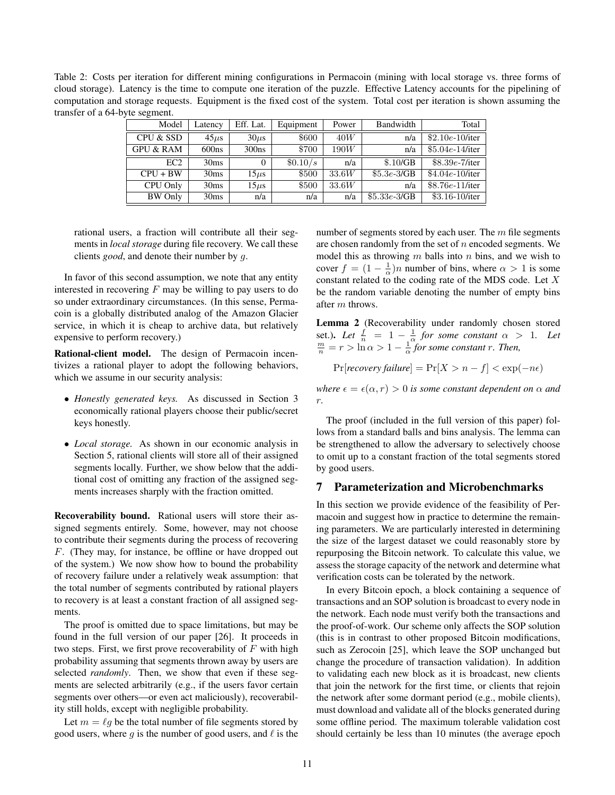Table 2: Costs per iteration for different mining configurations in Permacoin (mining with local storage vs. three forms of cloud storage). Latency is the time to compute one iteration of the puzzle. Effective Latency accounts for the pipelining of computation and storage requests. Equipment is the fixed cost of the system. Total cost per iteration is shown assuming the transfer of a 64-byte segment.

| Model                | Latency          | Eff. Lat.  | Equipment  | Power | Bandwidth     | Total            |
|----------------------|------------------|------------|------------|-------|---------------|------------------|
| CPU & SSD            | $45 \mu s$       | $30\mu s$  | \$600      | 40W   | n/a           | $$2.10e-10/iter$ |
| <b>GPU &amp; RAM</b> | 600ns            | 300ns      | \$700      | 190W  | n/a           | $$5.04e-14/iter$ |
| EC <sub>2</sub>      | 30 <sub>ms</sub> | 0          | \$0.10/s\$ | n/a   | \$.10/GB      | $$8.39e-7/iter$  |
| $CPU + BW$           | 30 <sub>ms</sub> | $15 \mu s$ | \$500      | 33.6W | $$5.3e-3/GB$  | $$4.04e-10/iter$ |
| CPU Only             | 30 <sub>ms</sub> | $15 \mu s$ | \$500      | 33.6W | n/a           | $$8.76e-11/iter$ |
| <b>BW</b> Only       | 30 <sub>ms</sub> | n/a        | n/a        | n/a   | $$5.33e-3/GB$ | $$3.16-10/iter$  |

rational users, a fraction will contribute all their segments in *local storage* during file recovery. We call these clients *good*, and denote their number by g.

In favor of this second assumption, we note that any entity interested in recovering  $F$  may be willing to pay users to do so under extraordinary circumstances. (In this sense, Permacoin is a globally distributed analog of the Amazon Glacier service, in which it is cheap to archive data, but relatively expensive to perform recovery.)

Rational-client model. The design of Permacoin incentivizes a rational player to adopt the following behaviors, which we assume in our security analysis:

- *Honestly generated keys.* As discussed in Section 3 economically rational players choose their public/secret keys honestly.
- *Local storage.* As shown in our economic analysis in Section 5, rational clients will store all of their assigned segments locally. Further, we show below that the additional cost of omitting any fraction of the assigned segments increases sharply with the fraction omitted.

Recoverability bound. Rational users will store their assigned segments entirely. Some, however, may not choose to contribute their segments during the process of recovering F. (They may, for instance, be offline or have dropped out of the system.) We now show how to bound the probability of recovery failure under a relatively weak assumption: that the total number of segments contributed by rational players to recovery is at least a constant fraction of all assigned segments.

The proof is omitted due to space limitations, but may be found in the full version of our paper [26]. It proceeds in two steps. First, we first prove recoverability of  $F$  with high probability assuming that segments thrown away by users are selected *randomly*. Then, we show that even if these segments are selected arbitrarily (e.g., if the users favor certain segments over others—or even act maliciously), recoverability still holds, except with negligible probability.

Let  $m = \ell q$  be the total number of file segments stored by good users, where g is the number of good users, and  $\ell$  is the number of segments stored by each user. The  $m$  file segments are chosen randomly from the set of  $n$  encoded segments. We model this as throwing  $m$  balls into  $n$  bins, and we wish to cover  $f = (1 - \frac{1}{\alpha})n$  number of bins, where  $\alpha > 1$  is some constant related to the coding rate of the MDS code. Let X be the random variable denoting the number of empty bins after m throws.

Lemma 2 (Recoverability under randomly chosen stored set.). Let  $\frac{f}{n} = 1 - \frac{1}{\alpha}$  for some constant  $\alpha > 1$ . Let  $\frac{m}{n} = r > \ln \alpha > 1 - \frac{1}{\alpha}$  for some constant r. Then,

 $Pr[recovery failure] = Pr[X > n - f] < exp(-n\epsilon)$ 

*where*  $\epsilon = \epsilon(\alpha, r) > 0$  *is some constant dependent on*  $\alpha$  *and* r*.*

The proof (included in the full version of this paper) follows from a standard balls and bins analysis. The lemma can be strengthened to allow the adversary to selectively choose to omit up to a constant fraction of the total segments stored by good users.

# 7 Parameterization and Microbenchmarks

In this section we provide evidence of the feasibility of Permacoin and suggest how in practice to determine the remaining parameters. We are particularly interested in determining the size of the largest dataset we could reasonably store by repurposing the Bitcoin network. To calculate this value, we assess the storage capacity of the network and determine what verification costs can be tolerated by the network.

In every Bitcoin epoch, a block containing a sequence of transactions and an SOP solution is broadcast to every node in the network. Each node must verify both the transactions and the proof-of-work. Our scheme only affects the SOP solution (this is in contrast to other proposed Bitcoin modifications, such as Zerocoin [25], which leave the SOP unchanged but change the procedure of transaction validation). In addition to validating each new block as it is broadcast, new clients that join the network for the first time, or clients that rejoin the network after some dormant period (e.g., mobile clients), must download and validate all of the blocks generated during some offline period. The maximum tolerable validation cost should certainly be less than 10 minutes (the average epoch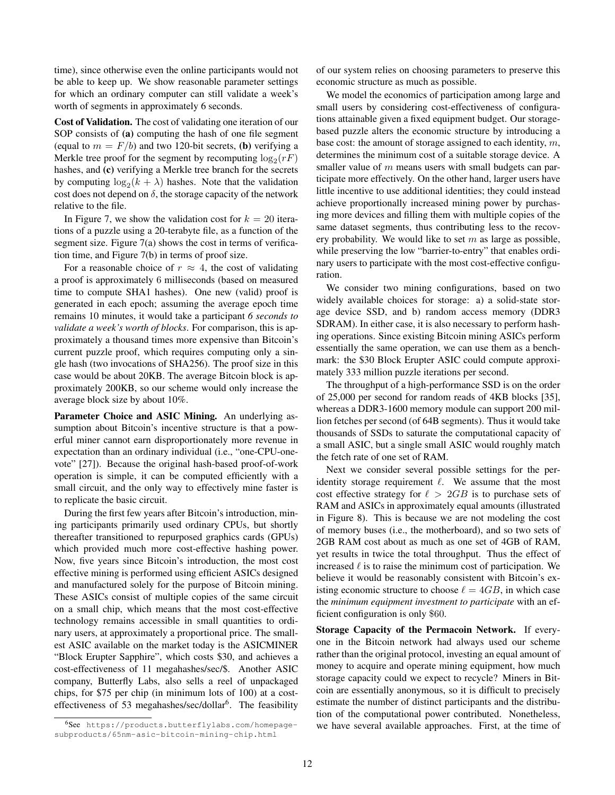time), since otherwise even the online participants would not be able to keep up. We show reasonable parameter settings for which an ordinary computer can still validate a week's worth of segments in approximately 6 seconds.

Cost of Validation. The cost of validating one iteration of our SOP consists of (a) computing the hash of one file segment (equal to  $m = F/b$ ) and two 120-bit secrets, (b) verifying a Merkle tree proof for the segment by recomputing  $\log_2(rF)$ hashes, and (c) verifying a Merkle tree branch for the secrets by computing  $\log_2(k + \lambda)$  hashes. Note that the validation cost does not depend on  $\delta$ , the storage capacity of the network relative to the file.

In Figure 7, we show the validation cost for  $k = 20$  iterations of a puzzle using a 20-terabyte file, as a function of the segment size. Figure 7(a) shows the cost in terms of verification time, and Figure 7(b) in terms of proof size.

For a reasonable choice of  $r \approx 4$ , the cost of validating a proof is approximately 6 milliseconds (based on measured time to compute SHA1 hashes). One new (valid) proof is generated in each epoch; assuming the average epoch time remains 10 minutes, it would take a participant *6 seconds to validate a week's worth of blocks*. For comparison, this is approximately a thousand times more expensive than Bitcoin's current puzzle proof, which requires computing only a single hash (two invocations of SHA256). The proof size in this case would be about 20KB. The average Bitcoin block is approximately 200KB, so our scheme would only increase the average block size by about 10%.

Parameter Choice and ASIC Mining. An underlying assumption about Bitcoin's incentive structure is that a powerful miner cannot earn disproportionately more revenue in expectation than an ordinary individual (i.e., "one-CPU-onevote" [27]). Because the original hash-based proof-of-work operation is simple, it can be computed efficiently with a small circuit, and the only way to effectively mine faster is to replicate the basic circuit.

During the first few years after Bitcoin's introduction, mining participants primarily used ordinary CPUs, but shortly thereafter transitioned to repurposed graphics cards (GPUs) which provided much more cost-effective hashing power. Now, five years since Bitcoin's introduction, the most cost effective mining is performed using efficient ASICs designed and manufactured solely for the purpose of Bitcoin mining. These ASICs consist of multiple copies of the same circuit on a small chip, which means that the most cost-effective technology remains accessible in small quantities to ordinary users, at approximately a proportional price. The smallest ASIC available on the market today is the ASICMINER "Block Erupter Sapphire", which costs \$30, and achieves a cost-effectiveness of 11 megahashes/sec/\$. Another ASIC company, Butterfly Labs, also sells a reel of unpackaged chips, for \$75 per chip (in minimum lots of 100) at a costeffectiveness of 53 megahashes/sec/dollar<sup>6</sup>. The feasibility

<sup>6</sup>See https://products.butterflylabs.com/homepagesubproducts/65nm-asic-bitcoin-mining-chip.html

of our system relies on choosing parameters to preserve this economic structure as much as possible.

We model the economics of participation among large and small users by considering cost-effectiveness of configurations attainable given a fixed equipment budget. Our storagebased puzzle alters the economic structure by introducing a base cost: the amount of storage assigned to each identity,  $m$ , determines the minimum cost of a suitable storage device. A smaller value of  $m$  means users with small budgets can participate more effectively. On the other hand, larger users have little incentive to use additional identities; they could instead achieve proportionally increased mining power by purchasing more devices and filling them with multiple copies of the same dataset segments, thus contributing less to the recovery probability. We would like to set  $m$  as large as possible, while preserving the low "barrier-to-entry" that enables ordinary users to participate with the most cost-effective configuration.

We consider two mining configurations, based on two widely available choices for storage: a) a solid-state storage device SSD, and b) random access memory (DDR3 SDRAM). In either case, it is also necessary to perform hashing operations. Since existing Bitcoin mining ASICs perform essentially the same operation, we can use them as a benchmark: the \$30 Block Erupter ASIC could compute approximately 333 million puzzle iterations per second.

The throughput of a high-performance SSD is on the order of 25,000 per second for random reads of 4KB blocks [35], whereas a DDR3-1600 memory module can support 200 million fetches per second (of 64B segments). Thus it would take thousands of SSDs to saturate the computational capacity of a small ASIC, but a single small ASIC would roughly match the fetch rate of one set of RAM.

Next we consider several possible settings for the peridentity storage requirement  $\ell$ . We assume that the most cost effective strategy for  $\ell > 2GB$  is to purchase sets of RAM and ASICs in approximately equal amounts (illustrated in Figure 8). This is because we are not modeling the cost of memory buses (i.e., the motherboard), and so two sets of 2GB RAM cost about as much as one set of 4GB of RAM, yet results in twice the total throughput. Thus the effect of increased  $\ell$  is to raise the minimum cost of participation. We believe it would be reasonably consistent with Bitcoin's existing economic structure to choose  $\ell = 4GB$ , in which case the *minimum equipment investment to participate* with an efficient configuration is only \$60.

Storage Capacity of the Permacoin Network. If everyone in the Bitcoin network had always used our scheme rather than the original protocol, investing an equal amount of money to acquire and operate mining equipment, how much storage capacity could we expect to recycle? Miners in Bitcoin are essentially anonymous, so it is difficult to precisely estimate the number of distinct participants and the distribution of the computational power contributed. Nonetheless, we have several available approaches. First, at the time of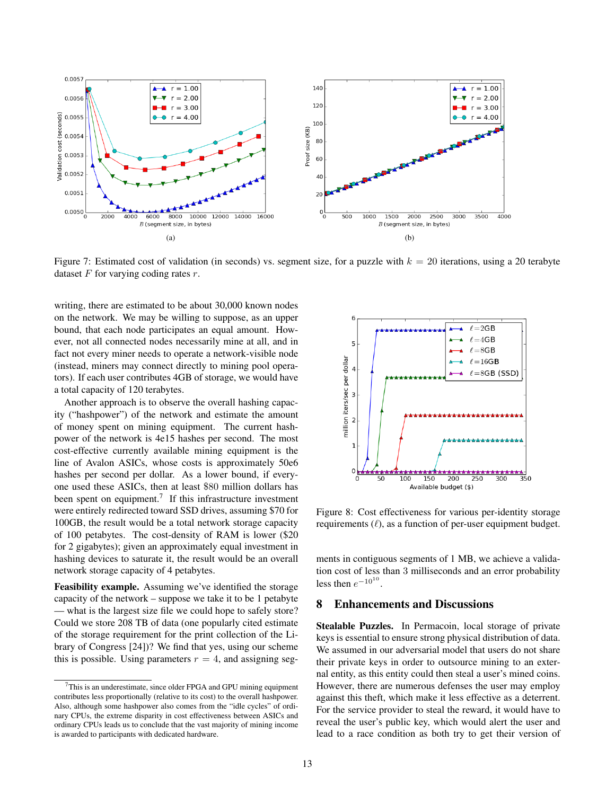

Figure 7: Estimated cost of validation (in seconds) vs. segment size, for a puzzle with  $k = 20$  iterations, using a 20 terabyte dataset  $F$  for varying coding rates  $r$ .

writing, there are estimated to be about 30,000 known nodes on the network. We may be willing to suppose, as an upper bound, that each node participates an equal amount. However, not all connected nodes necessarily mine at all, and in fact not every miner needs to operate a network-visible node (instead, miners may connect directly to mining pool operators). If each user contributes 4GB of storage, we would have a total capacity of 120 terabytes.

Another approach is to observe the overall hashing capacity ("hashpower") of the network and estimate the amount of money spent on mining equipment. The current hashpower of the network is 4e15 hashes per second. The most cost-effective currently available mining equipment is the line of Avalon ASICs, whose costs is approximately 50e6 hashes per second per dollar. As a lower bound, if everyone used these ASICs, then at least \$80 million dollars has been spent on equipment.<sup>7</sup> If this infrastructure investment were entirely redirected toward SSD drives, assuming \$70 for 100GB, the result would be a total network storage capacity of 100 petabytes. The cost-density of RAM is lower (\$20 for 2 gigabytes); given an approximately equal investment in hashing devices to saturate it, the result would be an overall network storage capacity of 4 petabytes.

Feasibility example. Assuming we've identified the storage capacity of the network – suppose we take it to be 1 petabyte — what is the largest size file we could hope to safely store? Could we store 208 TB of data (one popularly cited estimate of the storage requirement for the print collection of the Library of Congress [24])? We find that yes, using our scheme this is possible. Using parameters  $r = 4$ , and assigning seg-



Figure 8: Cost effectiveness for various per-identity storage requirements  $(\ell)$ , as a function of per-user equipment budget.

ments in contiguous segments of 1 MB, we achieve a validation cost of less than 3 milliseconds and an error probability less then  $e^{-10^{10}}$ .

## 8 Enhancements and Discussions

Stealable Puzzles. In Permacoin, local storage of private keys is essential to ensure strong physical distribution of data. We assumed in our adversarial model that users do not share their private keys in order to outsource mining to an external entity, as this entity could then steal a user's mined coins. However, there are numerous defenses the user may employ against this theft, which make it less effective as a deterrent. For the service provider to steal the reward, it would have to reveal the user's public key, which would alert the user and lead to a race condition as both try to get their version of

 $7$ This is an underestimate, since older FPGA and GPU mining equipment contributes less proportionally (relative to its cost) to the overall hashpower. Also, although some hashpower also comes from the "idle cycles" of ordinary CPUs, the extreme disparity in cost effectiveness between ASICs and ordinary CPUs leads us to conclude that the vast majority of mining income is awarded to participants with dedicated hardware.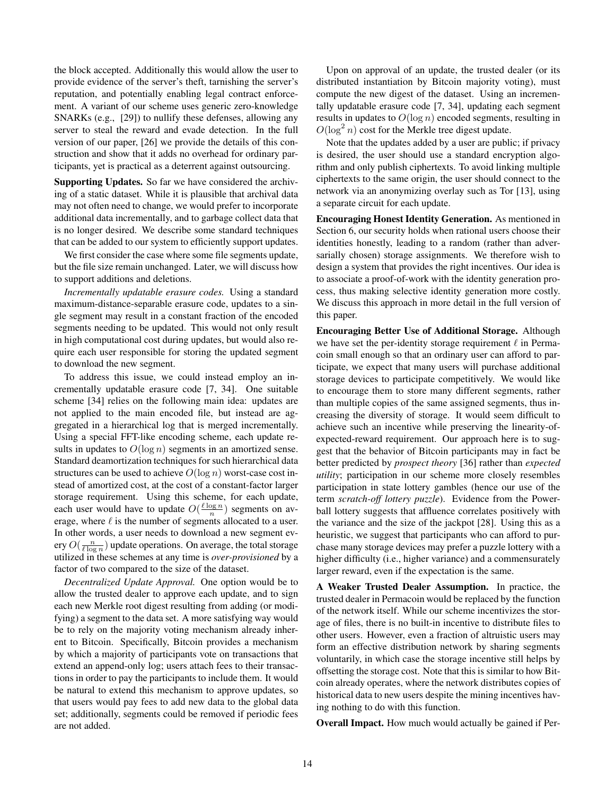the block accepted. Additionally this would allow the user to provide evidence of the server's theft, tarnishing the server's reputation, and potentially enabling legal contract enforcement. A variant of our scheme uses generic zero-knowledge SNARKs (e.g., [29]) to nullify these defenses, allowing any server to steal the reward and evade detection. In the full version of our paper, [26] we provide the details of this construction and show that it adds no overhead for ordinary participants, yet is practical as a deterrent against outsourcing.

Supporting Updates. So far we have considered the archiving of a static dataset. While it is plausible that archival data may not often need to change, we would prefer to incorporate additional data incrementally, and to garbage collect data that is no longer desired. We describe some standard techniques that can be added to our system to efficiently support updates.

We first consider the case where some file segments update, but the file size remain unchanged. Later, we will discuss how to support additions and deletions.

*Incrementally updatable erasure codes.* Using a standard maximum-distance-separable erasure code, updates to a single segment may result in a constant fraction of the encoded segments needing to be updated. This would not only result in high computational cost during updates, but would also require each user responsible for storing the updated segment to download the new segment.

To address this issue, we could instead employ an incrementally updatable erasure code [7, 34]. One suitable scheme [34] relies on the following main idea: updates are not applied to the main encoded file, but instead are aggregated in a hierarchical log that is merged incrementally. Using a special FFT-like encoding scheme, each update results in updates to  $O(\log n)$  segments in an amortized sense. Standard deamortization techniques for such hierarchical data structures can be used to achieve  $O(\log n)$  worst-case cost instead of amortized cost, at the cost of a constant-factor larger storage requirement. Using this scheme, for each update, each user would have to update  $O(\frac{\ell \log n}{n})$  segments on average, where  $\ell$  is the number of segments allocated to a user. In other words, a user needs to download a new segment every  $O(\frac{n}{\ell \log n})$  update operations. On average, the total storage utilized in these schemes at any time is *over-provisioned* by a factor of two compared to the size of the dataset.

*Decentralized Update Approval.* One option would be to allow the trusted dealer to approve each update, and to sign each new Merkle root digest resulting from adding (or modifying) a segment to the data set. A more satisfying way would be to rely on the majority voting mechanism already inherent to Bitcoin. Specifically, Bitcoin provides a mechanism by which a majority of participants vote on transactions that extend an append-only log; users attach fees to their transactions in order to pay the participants to include them. It would be natural to extend this mechanism to approve updates, so that users would pay fees to add new data to the global data set; additionally, segments could be removed if periodic fees are not added.

Upon on approval of an update, the trusted dealer (or its distributed instantiation by Bitcoin majority voting), must compute the new digest of the dataset. Using an incrementally updatable erasure code [7, 34], updating each segment results in updates to  $O(\log n)$  encoded segments, resulting in  $O(\log^2 n)$  cost for the Merkle tree digest update.

Note that the updates added by a user are public; if privacy is desired, the user should use a standard encryption algorithm and only publish ciphertexts. To avoid linking multiple ciphertexts to the same origin, the user should connect to the network via an anonymizing overlay such as Tor [13], using a separate circuit for each update.

Encouraging Honest Identity Generation. As mentioned in Section 6, our security holds when rational users choose their identities honestly, leading to a random (rather than adversarially chosen) storage assignments. We therefore wish to design a system that provides the right incentives. Our idea is to associate a proof-of-work with the identity generation process, thus making selective identity generation more costly. We discuss this approach in more detail in the full version of this paper.

Encouraging Better Use of Additional Storage. Although we have set the per-identity storage requirement  $\ell$  in Permacoin small enough so that an ordinary user can afford to participate, we expect that many users will purchase additional storage devices to participate competitively. We would like to encourage them to store many different segments, rather than multiple copies of the same assigned segments, thus increasing the diversity of storage. It would seem difficult to achieve such an incentive while preserving the linearity-ofexpected-reward requirement. Our approach here is to suggest that the behavior of Bitcoin participants may in fact be better predicted by *prospect theory* [36] rather than *expected utility*; participation in our scheme more closely resembles participation in state lottery gambles (hence our use of the term *scratch-off lottery puzzle*). Evidence from the Powerball lottery suggests that affluence correlates positively with the variance and the size of the jackpot [28]. Using this as a heuristic, we suggest that participants who can afford to purchase many storage devices may prefer a puzzle lottery with a higher difficulty (i.e., higher variance) and a commensurately larger reward, even if the expectation is the same.

A Weaker Trusted Dealer Assumption. In practice, the trusted dealer in Permacoin would be replaced by the function of the network itself. While our scheme incentivizes the storage of files, there is no built-in incentive to distribute files to other users. However, even a fraction of altruistic users may form an effective distribution network by sharing segments voluntarily, in which case the storage incentive still helps by offsetting the storage cost. Note that this is similar to how Bitcoin already operates, where the network distributes copies of historical data to new users despite the mining incentives having nothing to do with this function.

Overall Impact. How much would actually be gained if Per-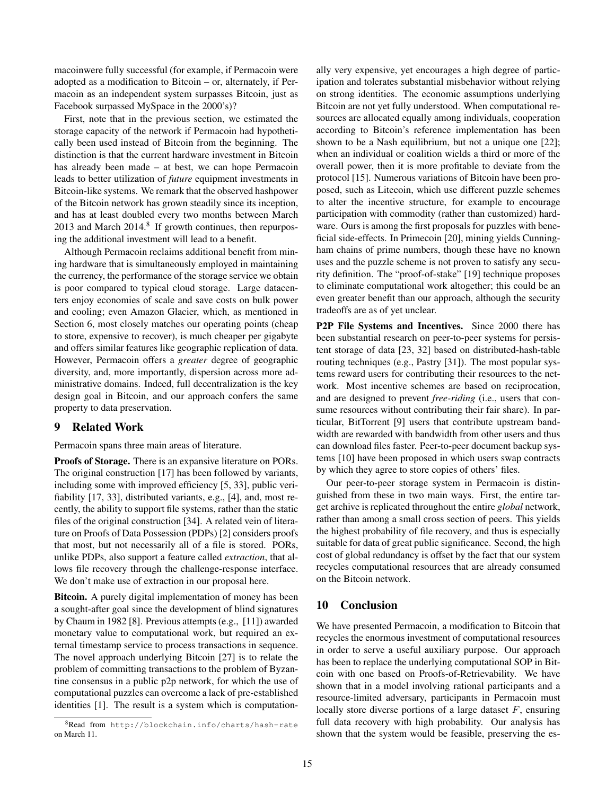macoinwere fully successful (for example, if Permacoin were adopted as a modification to Bitcoin – or, alternately, if Permacoin as an independent system surpasses Bitcoin, just as Facebook surpassed MySpace in the 2000's)?

First, note that in the previous section, we estimated the storage capacity of the network if Permacoin had hypothetically been used instead of Bitcoin from the beginning. The distinction is that the current hardware investment in Bitcoin has already been made – at best, we can hope Permacoin leads to better utilization of *future* equipment investments in Bitcoin-like systems. We remark that the observed hashpower of the Bitcoin network has grown steadily since its inception, and has at least doubled every two months between March 2013 and March 2014.<sup>8</sup> If growth continues, then repurposing the additional investment will lead to a benefit.

Although Permacoin reclaims additional benefit from mining hardware that is simultaneously employed in maintaining the currency, the performance of the storage service we obtain is poor compared to typical cloud storage. Large datacenters enjoy economies of scale and save costs on bulk power and cooling; even Amazon Glacier, which, as mentioned in Section 6, most closely matches our operating points (cheap to store, expensive to recover), is much cheaper per gigabyte and offers similar features like geographic replication of data. However, Permacoin offers a *greater* degree of geographic diversity, and, more importantly, dispersion across more administrative domains. Indeed, full decentralization is the key design goal in Bitcoin, and our approach confers the same property to data preservation.

# 9 Related Work

Permacoin spans three main areas of literature.

Proofs of Storage. There is an expansive literature on PORs. The original construction [17] has been followed by variants, including some with improved efficiency [5, 33], public verifiability [17, 33], distributed variants, e.g., [4], and, most recently, the ability to support file systems, rather than the static files of the original construction [34]. A related vein of literature on Proofs of Data Possession (PDPs) [2] considers proofs that most, but not necessarily all of a file is stored. PORs, unlike PDPs, also support a feature called *extraction*, that allows file recovery through the challenge-response interface. We don't make use of extraction in our proposal here.

Bitcoin. A purely digital implementation of money has been a sought-after goal since the development of blind signatures by Chaum in 1982 [8]. Previous attempts (e.g., [11]) awarded monetary value to computational work, but required an external timestamp service to process transactions in sequence. The novel approach underlying Bitcoin [27] is to relate the problem of committing transactions to the problem of Byzantine consensus in a public p2p network, for which the use of computational puzzles can overcome a lack of pre-established identities [1]. The result is a system which is computationally very expensive, yet encourages a high degree of participation and tolerates substantial misbehavior without relying on strong identities. The economic assumptions underlying Bitcoin are not yet fully understood. When computational resources are allocated equally among individuals, cooperation according to Bitcoin's reference implementation has been shown to be a Nash equilibrium, but not a unique one [22]; when an individual or coalition wields a third or more of the overall power, then it is more profitable to deviate from the protocol [15]. Numerous variations of Bitcoin have been proposed, such as Litecoin, which use different puzzle schemes to alter the incentive structure, for example to encourage participation with commodity (rather than customized) hardware. Ours is among the first proposals for puzzles with beneficial side-effects. In Primecoin [20], mining yields Cunningham chains of prime numbers, though these have no known uses and the puzzle scheme is not proven to satisfy any security definition. The "proof-of-stake" [19] technique proposes to eliminate computational work altogether; this could be an even greater benefit than our approach, although the security tradeoffs are as of yet unclear.

P2P File Systems and Incentives. Since 2000 there has been substantial research on peer-to-peer systems for persistent storage of data [23, 32] based on distributed-hash-table routing techniques (e.g., Pastry [31]). The most popular systems reward users for contributing their resources to the network. Most incentive schemes are based on reciprocation, and are designed to prevent *free-riding* (i.e., users that consume resources without contributing their fair share). In particular, BitTorrent [9] users that contribute upstream bandwidth are rewarded with bandwidth from other users and thus can download files faster. Peer-to-peer document backup systems [10] have been proposed in which users swap contracts by which they agree to store copies of others' files.

Our peer-to-peer storage system in Permacoin is distinguished from these in two main ways. First, the entire target archive is replicated throughout the entire *global* network, rather than among a small cross section of peers. This yields the highest probability of file recovery, and thus is especially suitable for data of great public significance. Second, the high cost of global redundancy is offset by the fact that our system recycles computational resources that are already consumed on the Bitcoin network.

# 10 Conclusion

We have presented Permacoin, a modification to Bitcoin that recycles the enormous investment of computational resources in order to serve a useful auxiliary purpose. Our approach has been to replace the underlying computational SOP in Bitcoin with one based on Proofs-of-Retrievability. We have shown that in a model involving rational participants and a resource-limited adversary, participants in Permacoin must locally store diverse portions of a large dataset  $F$ , ensuring full data recovery with high probability. Our analysis has shown that the system would be feasible, preserving the es-

<sup>8</sup>Read from http://blockchain.info/charts/hash-rate on March 11.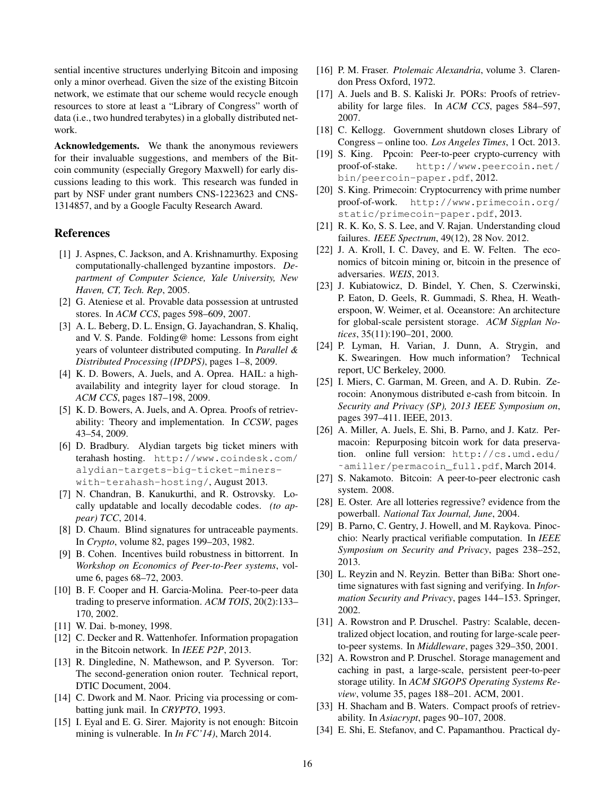sential incentive structures underlying Bitcoin and imposing only a minor overhead. Given the size of the existing Bitcoin network, we estimate that our scheme would recycle enough resources to store at least a "Library of Congress" worth of data (i.e., two hundred terabytes) in a globally distributed network.

Acknowledgements. We thank the anonymous reviewers for their invaluable suggestions, and members of the Bitcoin community (especially Gregory Maxwell) for early discussions leading to this work. This research was funded in part by NSF under grant numbers CNS-1223623 and CNS-1314857, and by a Google Faculty Research Award.

# References

- [1] J. Aspnes, C. Jackson, and A. Krishnamurthy. Exposing computationally-challenged byzantine impostors. *Department of Computer Science, Yale University, New Haven, CT, Tech. Rep*, 2005.
- [2] G. Ateniese et al. Provable data possession at untrusted stores. In *ACM CCS*, pages 598–609, 2007.
- [3] A. L. Beberg, D. L. Ensign, G. Jayachandran, S. Khaliq, and V. S. Pande. Folding@ home: Lessons from eight years of volunteer distributed computing. In *Parallel & Distributed Processing (IPDPS)*, pages 1–8, 2009.
- [4] K. D. Bowers, A. Juels, and A. Oprea. HAIL: a highavailability and integrity layer for cloud storage. In *ACM CCS*, pages 187–198, 2009.
- [5] K. D. Bowers, A. Juels, and A. Oprea. Proofs of retrievability: Theory and implementation. In *CCSW*, pages 43–54, 2009.
- [6] D. Bradbury. Alydian targets big ticket miners with terahash hosting. http://www.coindesk.com/ alydian-targets-big-ticket-minerswith-terahash-hosting/, August 2013.
- [7] N. Chandran, B. Kanukurthi, and R. Ostrovsky. Locally updatable and locally decodable codes. *(to appear) TCC*, 2014.
- [8] D. Chaum. Blind signatures for untraceable payments. In *Crypto*, volume 82, pages 199–203, 1982.
- [9] B. Cohen. Incentives build robustness in bittorrent. In *Workshop on Economics of Peer-to-Peer systems*, volume 6, pages 68–72, 2003.
- [10] B. F. Cooper and H. Garcia-Molina. Peer-to-peer data trading to preserve information. *ACM TOIS*, 20(2):133– 170, 2002.
- [11] W. Dai. b-money, 1998.
- [12] C. Decker and R. Wattenhofer. Information propagation in the Bitcoin network. In *IEEE P2P*, 2013.
- [13] R. Dingledine, N. Mathewson, and P. Syverson. Tor: The second-generation onion router. Technical report, DTIC Document, 2004.
- [14] C. Dwork and M. Naor. Pricing via processing or combatting junk mail. In *CRYPTO*, 1993.
- [15] I. Eyal and E. G. Sirer. Majority is not enough: Bitcoin mining is vulnerable. In *In FC'14)*, March 2014.
- [16] P. M. Fraser. *Ptolemaic Alexandria*, volume 3. Clarendon Press Oxford, 1972.
- [17] A. Juels and B. S. Kaliski Jr. PORs: Proofs of retrievability for large files. In *ACM CCS*, pages 584–597, 2007.
- [18] C. Kellogg. Government shutdown closes Library of Congress – online too. *Los Angeles Times*, 1 Oct. 2013.
- [19] S. King. Ppcoin: Peer-to-peer crypto-currency with proof-of-stake. http://www.peercoin.net/ bin/peercoin-paper.pdf, 2012.
- [20] S. King. Primecoin: Cryptocurrency with prime number proof-of-work. http://www.primecoin.org/ static/primecoin-paper.pdf, 2013.
- [21] R. K. Ko, S. S. Lee, and V. Rajan. Understanding cloud failures. *IEEE Spectrum*, 49(12), 28 Nov. 2012.
- [22] J. A. Kroll, I. C. Davey, and E. W. Felten. The economics of bitcoin mining or, bitcoin in the presence of adversaries. *WEIS*, 2013.
- [23] J. Kubiatowicz, D. Bindel, Y. Chen, S. Czerwinski, P. Eaton, D. Geels, R. Gummadi, S. Rhea, H. Weatherspoon, W. Weimer, et al. Oceanstore: An architecture for global-scale persistent storage. *ACM Sigplan Notices*, 35(11):190–201, 2000.
- [24] P. Lyman, H. Varian, J. Dunn, A. Strygin, and K. Swearingen. How much information? Technical report, UC Berkeley, 2000.
- [25] I. Miers, C. Garman, M. Green, and A. D. Rubin. Zerocoin: Anonymous distributed e-cash from bitcoin. In *Security and Privacy (SP), 2013 IEEE Symposium on*, pages 397–411. IEEE, 2013.
- [26] A. Miller, A. Juels, E. Shi, B. Parno, and J. Katz. Permacoin: Repurposing bitcoin work for data preservation. online full version: http://cs.umd.edu/ ~amiller/permacoin full.pdf, March 2014.
- [27] S. Nakamoto. Bitcoin: A peer-to-peer electronic cash system. 2008.
- [28] E. Oster. Are all lotteries regressive? evidence from the powerball. *National Tax Journal, June*, 2004.
- [29] B. Parno, C. Gentry, J. Howell, and M. Raykova. Pinocchio: Nearly practical verifiable computation. In *IEEE Symposium on Security and Privacy*, pages 238–252, 2013.
- [30] L. Reyzin and N. Reyzin. Better than BiBa: Short onetime signatures with fast signing and verifying. In *Information Security and Privacy*, pages 144–153. Springer, 2002.
- [31] A. Rowstron and P. Druschel. Pastry: Scalable, decentralized object location, and routing for large-scale peerto-peer systems. In *Middleware*, pages 329–350, 2001.
- [32] A. Rowstron and P. Druschel. Storage management and caching in past, a large-scale, persistent peer-to-peer storage utility. In *ACM SIGOPS Operating Systems Review*, volume 35, pages 188–201. ACM, 2001.
- [33] H. Shacham and B. Waters. Compact proofs of retrievability. In *Asiacrypt*, pages 90–107, 2008.
- [34] E. Shi, E. Stefanov, and C. Papamanthou. Practical dy-